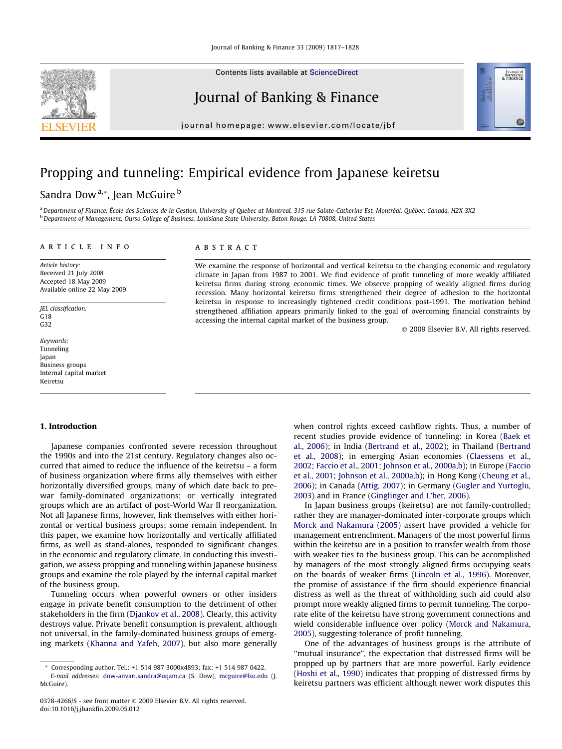Contents lists available at [ScienceDirect](http://www.sciencedirect.com/science/journal/03784266)

## Journal of Banking & Finance

journal homepage: [www.elsevier.com/locate/jbf](http://www.elsevier.com/locate/jbf)

# Propping and tunneling: Empirical evidence from Japanese keiretsu

### Sandra Dow<sup>a,\*</sup>, Jean McGuire<sup>b</sup>

<sup>a</sup>Department of Finance, École des Sciences de la Gestion, University of Quebec at Montreal, 315 rue Sainte-Catherine Est, Montréal, Québec, Canada, H2X 3X2 <sup>b</sup> Department of Management, Ourso College of Business, Louisiana State University, Baton Rouge, LA 70808, United States

### article info

Article history: Received 21 July 2008 Accepted 18 May 2009 Available online 22 May 2009

JEL classification: G18 G32

Keywords: Tunneling Japan Business groups Internal capital market Keiretsu

#### 1. Introduction

Japanese companies confronted severe recession throughout the 1990s and into the 21st century. Regulatory changes also occurred that aimed to reduce the influence of the keiretsu – a form of business organization where firms ally themselves with either horizontally diversified groups, many of which date back to prewar family-dominated organizations; or vertically integrated groups which are an artifact of post-World War II reorganization. Not all Japanese firms, however, link themselves with either horizontal or vertical business groups; some remain independent. In this paper, we examine how horizontally and vertically affiliated firms, as well as stand-alones, responded to significant changes in the economic and regulatory climate. In conducting this investigation, we assess propping and tunneling within Japanese business groups and examine the role played by the internal capital market of the business group.

Tunneling occurs when powerful owners or other insiders engage in private benefit consumption to the detriment of other stakeholders in the firm ([Djankov et al., 2008\)](#page--1-0). Clearly, this activity destroys value. Private benefit consumption is prevalent, although not universal, in the family-dominated business groups of emerging markets ([Khanna and Yafeh, 2007](#page--1-0)), but also more generally

### **ABSTRACT**

We examine the response of horizontal and vertical keiretsu to the changing economic and regulatory climate in Japan from 1987 to 2001. We find evidence of profit tunneling of more weakly affiliated keiretsu firms during strong economic times. We observe propping of weakly aligned firms during recession. Many horizontal keiretsu firms strengthened their degree of adhesion to the horizontal keiretsu in response to increasingly tightened credit conditions post-1991. The motivation behind strengthened affiliation appears primarily linked to the goal of overcoming financial constraints by accessing the internal capital market of the business group.

- 2009 Elsevier B.V. All rights reserved.

Journal of<br>BANKING<br>& FINANCE

when control rights exceed cashflow rights. Thus, a number of recent studies provide evidence of tunneling: in Korea [\(Baek et](#page--1-0) [al., 2006](#page--1-0)); in India [\(Bertrand et al., 2002](#page--1-0)); in Thailand ([Bertrand](#page--1-0) [et al., 2008\)](#page--1-0); in emerging Asian economies [\(Claessens et al.,](#page--1-0) [2002; Faccio et al., 2001; Johnson et al., 2000a,b](#page--1-0)); in Europe [\(Faccio](#page--1-0) [et al., 2001; Johnson et al., 2000a,b\)](#page--1-0); in Hong Kong ([Cheung et al.,](#page--1-0) [2006](#page--1-0)); in Canada [\(Attig, 2007](#page--1-0)); in Germany [\(Gugler and Yurtoglu,](#page--1-0) [2003](#page--1-0)) and in France [\(Ginglinger and L'her, 2006](#page--1-0)).

In Japan business groups (keiretsu) are not family-controlled; rather they are manager-dominated inter-corporate groups which [Morck and Nakamura \(2005\)](#page--1-0) assert have provided a vehicle for management entrenchment. Managers of the most powerful firms within the keiretsu are in a position to transfer wealth from those with weaker ties to the business group. This can be accomplished by managers of the most strongly aligned firms occupying seats on the boards of weaker firms ([Lincoln et al., 1996](#page--1-0)). Moreover, the promise of assistance if the firm should experience financial distress as well as the threat of withholding such aid could also prompt more weakly aligned firms to permit tunneling. The corporate elite of the keiretsu have strong government connections and wield considerable influence over policy [\(Morck and Nakamura,](#page--1-0) [2005](#page--1-0)), suggesting tolerance of profit tunneling.

One of the advantages of business groups is the attribute of ''mutual insurance", the expectation that distressed firms will be propped up by partners that are more powerful. Early evidence ([Hoshi et al., 1990\)](#page--1-0) indicates that propping of distressed firms by keiretsu partners was efficient although newer work disputes this



<sup>\*</sup> Corresponding author. Tel.: +1 514 987 3000x4893; fax: +1 514 987 0422. E-mail addresses: [dow-anvari.sandra@uqam.ca](mailto:dow-anvari.sandra@uqam.ca) (S. Dow), [mcguire@lsu.edu](mailto:mcguire@lsu.edu) (J. McGuire).

<sup>0378-4266/\$ -</sup> see front matter © 2009 Elsevier B.V. All rights reserved. doi:10.1016/j.jbankfin.2009.05.012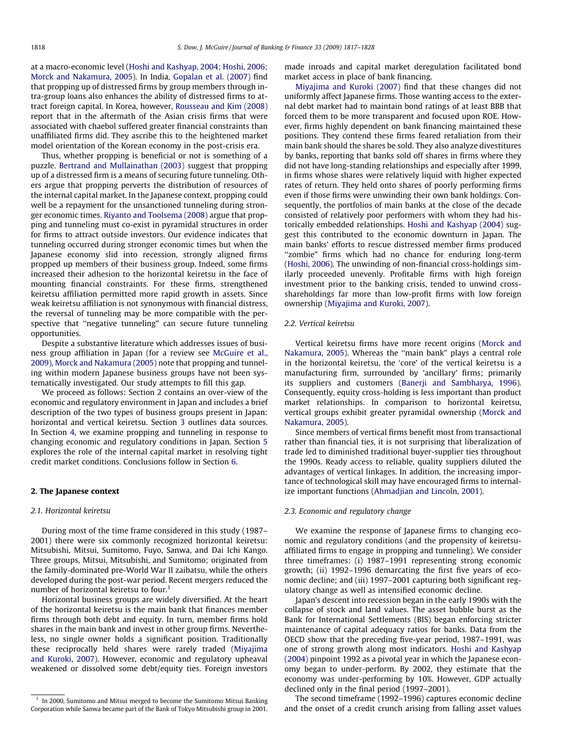at a macro-economic level ([Hoshi and Kashyap, 2004; Hoshi, 2006;](#page--1-0) [Morck and Nakamura, 2005](#page--1-0)). In India, [Gopalan et al. \(2007\)](#page--1-0) find that propping up of distressed firms by group members through intra-group loans also enhances the ability of distressed firms to attract foreign capital. In Korea, however, [Rousseau and Kim \(2008\)](#page--1-0) report that in the aftermath of the Asian crisis firms that were associated with chaebol suffered greater financial constraints than unaffiliated firms did. They ascribe this to the heightened market model orientation of the Korean economy in the post-crisis era.

Thus, whether propping is beneficial or not is something of a puzzle. [Bertrand and Mullainathan \(2003\)](#page--1-0) suggest that propping up of a distressed firm is a means of securing future tunneling. Others argue that propping perverts the distribution of resources of the internal capital market. In the Japanese context, propping could well be a repayment for the unsanctioned tunneling during stronger economic times. [Riyanto and Toolsema \(2008\)](#page--1-0) argue that propping and tunneling must co-exist in pyramidal structures in order for firms to attract outside investors. Our evidence indicates that tunneling occurred during stronger economic times but when the Japanese economy slid into recession, strongly aligned firms propped up members of their business group. Indeed, some firms increased their adhesion to the horizontal keiretsu in the face of mounting financial constraints. For these firms, strengthened keiretsu affiliation permitted more rapid growth in assets. Since weak keiretsu affiliation is not synonymous with financial distress, the reversal of tunneling may be more compatible with the perspective that ''negative tunneling" can secure future tunneling opportunities.

Despite a substantive literature which addresses issues of business group affiliation in Japan (for a review see [McGuire et al.,](#page--1-0) [2009\), Morck and Nakamura \(2005\)](#page--1-0) note that propping and tunneling within modern Japanese business groups have not been systematically investigated. Our study attempts to fill this gap.

We proceed as follows: Section 2 contains an over-view of the economic and regulatory environment in Japan and includes a brief description of the two types of business groups present in Japan: horizontal and vertical keiretsu. Section [3](#page--1-0) outlines data sources. In Section [4,](#page--1-0) we examine propping and tunneling in response to changing economic and regulatory conditions in Japan. Section [5](#page--1-0) explores the role of the internal capital market in resolving tight credit market conditions. Conclusions follow in Section [6](#page--1-0).

#### 2. The Japanese context

#### 2.1. Horizontal keiretsu

During most of the time frame considered in this study (1987– 2001) there were six commonly recognized horizontal keiretsu: Mitsubishi, Mitsui, Sumitomo, Fuyo, Sanwa, and Dai Ichi Kango. Three groups, Mitsui, Mitsubishi, and Sumitomo; originated from the family-dominated pre-World War II zaibatsu, while the others developed during the post-war period. Recent mergers reduced the number of horizontal keiretsu to four.<sup>1</sup>

Horizontal business groups are widely diversified. At the heart of the horizontal keiretsu is the main bank that finances member firms through both debt and equity. In turn, member firms hold shares in the main bank and invest in other group firms. Nevertheless, no single owner holds a significant position. Traditionally these reciprocally held shares were rarely traded [\(Miyajima](#page--1-0) [and Kuroki, 2007](#page--1-0)). However, economic and regulatory upheaval weakened or dissolved some debt/equity ties. Foreign investors

made inroads and capital market deregulation facilitated bond market access in place of bank financing.

[Miyajima and Kuroki \(2007\)](#page--1-0) find that these changes did not uniformly affect Japanese firms. Those wanting access to the external debt market had to maintain bond ratings of at least BBB that forced them to be more transparent and focused upon ROE. However, firms highly dependent on bank financing maintained these positions. They contend these firms feared retaliation from their main bank should the shares be sold. They also analyze divestitures by banks, reporting that banks sold off shares in firms where they did not have long-standing relationships and especially after 1999, in firms whose shares were relatively liquid with higher expected rates of return. They held onto shares of poorly performing firms even if those firms were unwinding their own bank holdings. Consequently, the portfolios of main banks at the close of the decade consisted of relatively poor performers with whom they had historically embedded relationships. [Hoshi and Kashyap \(2004\)](#page--1-0) suggest this contributed to the economic downturn in Japan. The main banks' efforts to rescue distressed member firms produced ''zombie" firms which had no chance for enduring long-term ([Hoshi, 2006\)](#page--1-0). The unwinding of non-financial cross-holdings similarly proceeded unevenly. Profitable firms with high foreign investment prior to the banking crisis, tended to unwind crossshareholdings far more than low-profit firms with low foreign ownership [\(Miyajima and Kuroki, 2007\)](#page--1-0).

#### 2.2. Vertical keiretsu

Vertical keiretsu firms have more recent origins ([Morck and](#page--1-0) [Nakamura, 2005](#page--1-0)). Whereas the ''main bank" plays a central role in the horizontal keiretsu, the 'core' of the vertical keiretsu is a manufacturing firm, surrounded by 'ancillary' firms; primarily its suppliers and customers ([Banerji and Sambharya, 1996\)](#page--1-0). Consequently, equity cross-holding is less important than product market relationships. In comparison to horizontal keiretsu, vertical groups exhibit greater pyramidal ownership [\(Morck and](#page--1-0) [Nakamura, 2005\)](#page--1-0).

Since members of vertical firms benefit most from transactional rather than financial ties, it is not surprising that liberalization of trade led to diminished traditional buyer-supplier ties throughout the 1990s. Ready access to reliable, quality suppliers diluted the advantages of vertical linkages. In addition, the increasing importance of technological skill may have encouraged firms to internalize important functions ([Ahmadjian and Lincoln, 2001](#page--1-0)).

#### 2.3. Economic and regulatory change

We examine the response of Japanese firms to changing economic and regulatory conditions (and the propensity of keiretsuaffiliated firms to engage in propping and tunneling). We consider three timeframes: (i) 1987–1991 representing strong economic growth; (ii) 1992–1996 demarcating the first five years of economic decline; and (iii) 1997–2001 capturing both significant regulatory change as well as intensified economic decline.

Japan's descent into recession began in the early 1990s with the collapse of stock and land values. The asset bubble burst as the Bank for International Settlements (BIS) began enforcing stricter maintenance of capital adequacy ratios for banks. Data from the OECD show that the preceding five-year period, 1987–1991, was one of strong growth along most indicators. [Hoshi and Kashyap](#page--1-0) [\(2004\)](#page--1-0) pinpoint 1992 as a pivotal year in which the Japanese economy began to under-perform. By 2002, they estimate that the economy was under-performing by 10%. However, GDP actually declined only in the final period (1997–2001).

The second timeframe (1992–1996) captures economic decline and the onset of a credit crunch arising from falling asset values

 $1$  In 2000, Sumitomo and Mitsui merged to become the Sumitomo Mitsui Banking Corporation while Sanwa became part of the Bank of Tokyo Mitsubishi group in 2001.